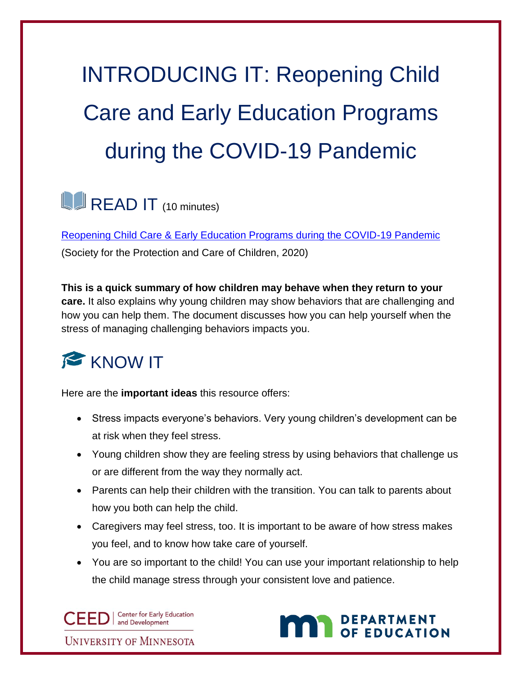## INTRODUCING IT: Reopening Child Care and Early Education Programs during the COVID-19 Pandemic

## **READ IT** (10 minutes)

[Reopening Child Care & Early Education Programs during the COVID-19 Pandemic](https://www.spcc-roch.org/wp-content/uploads/2020/06/SPCC-IECMH-Childcare-Reopening-Best-Practice-Recomendations-3-1.pdf) (Society for the Protection and Care of Children, 2020)

**This is a quick summary of how children may behave when they return to your care.** It also explains why young children may show behaviors that are challenging and how you can help them. The document discusses how you can help yourself when the stress of managing challenging behaviors impacts you.



Here are the **important ideas** this resource offers:

- Stress impacts everyone's behaviors. Very young children's development can be at risk when they feel stress.
- Young children show they are feeling stress by using behaviors that challenge us or are different from the way they normally act.
- Parents can help their children with the transition. You can talk to parents about how you both can help the child.
- Caregivers may feel stress, too. It is important to be aware of how stress makes you feel, and to know how take care of yourself.
- You are so important to the child! You can use your important relationship to help the child manage stress through your consistent love and patience.

CEED | Center for Early Ed **Center for Early Education** 

**UNIVERSITY OF MINNESOTA** 

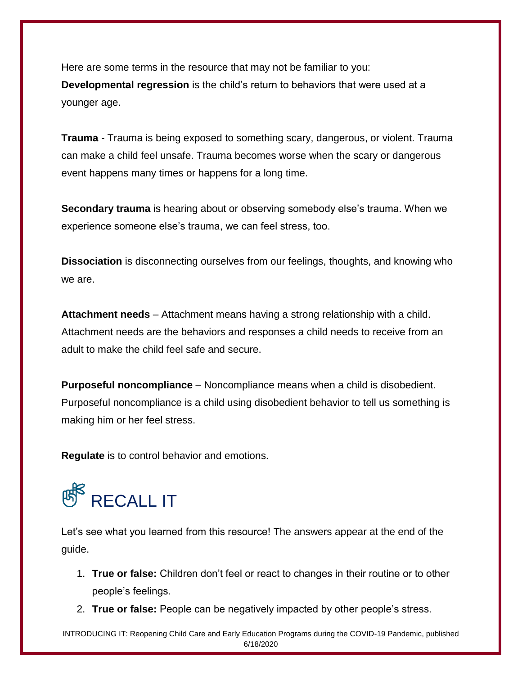Here are some terms in the resource that may not be familiar to you: **Developmental regression** is the child's return to behaviors that were used at a younger age.

**Trauma** - Trauma is being exposed to something scary, dangerous, or violent. Trauma can make a child feel unsafe. Trauma becomes worse when the scary or dangerous event happens many times or happens for a long time.

**Secondary trauma** is hearing about or observing somebody else's trauma. When we experience someone else's trauma, we can feel stress, too.

**Dissociation** is disconnecting ourselves from our feelings, thoughts, and knowing who we are.

**Attachment needs** – Attachment means having a strong relationship with a child. Attachment needs are the behaviors and responses a child needs to receive from an adult to make the child feel safe and secure.

**Purposeful noncompliance** – Noncompliance means when a child is disobedient. Purposeful noncompliance is a child using disobedient behavior to tell us something is making him or her feel stress.

**Regulate** is to control behavior and emotions.

## **RECALL IT**

Let's see what you learned from this resource! The answers appear at the end of the guide.

- 1. **True or false:** Children don't feel or react to changes in their routine or to other people's feelings.
- 2. **True or false:** People can be negatively impacted by other people's stress.

INTRODUCING IT: Reopening Child Care and Early Education Programs during the COVID-19 Pandemic, published 6/18/2020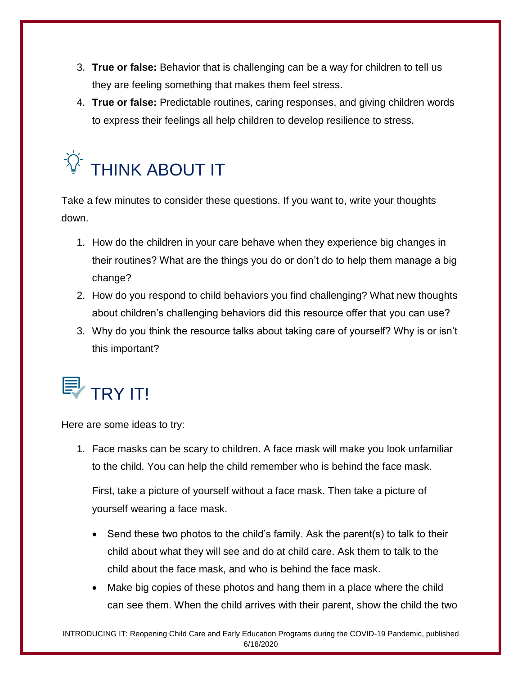- 3. **True or false:** Behavior that is challenging can be a way for children to tell us they are feeling something that makes them feel stress.
- 4. **True or false:** Predictable routines, caring responses, and giving children words to express their feelings all help children to develop resilience to stress.



Take a few minutes to consider these questions. If you want to, write your thoughts down.

- 1. How do the children in your care behave when they experience big changes in their routines? What are the things you do or don't do to help them manage a big change?
- 2. How do you respond to child behaviors you find challenging? What new thoughts about children's challenging behaviors did this resource offer that you can use?
- 3. Why do you think the resource talks about taking care of yourself? Why is or isn't this important?



Here are some ideas to try:

1. Face masks can be scary to children. A face mask will make you look unfamiliar to the child. You can help the child remember who is behind the face mask.

First, take a picture of yourself without a face mask. Then take a picture of yourself wearing a face mask.

- Send these two photos to the child's family. Ask the parent(s) to talk to their child about what they will see and do at child care. Ask them to talk to the child about the face mask, and who is behind the face mask.
- Make big copies of these photos and hang them in a place where the child can see them. When the child arrives with their parent, show the child the two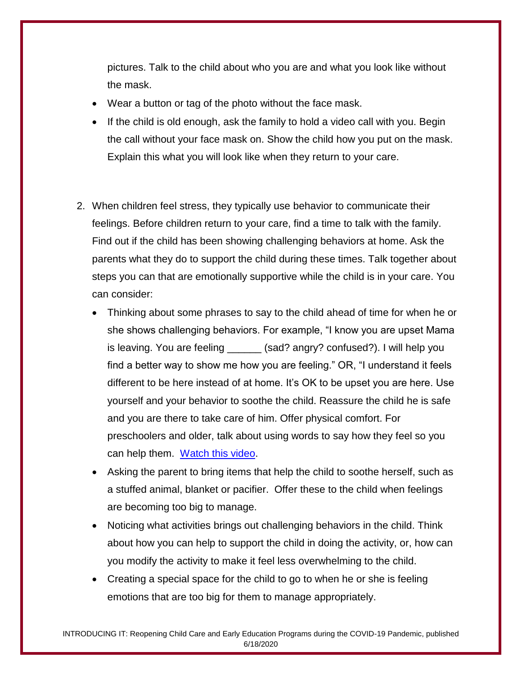pictures. Talk to the child about who you are and what you look like without the mask.

- Wear a button or tag of the photo without the face mask.
- If the child is old enough, ask the family to hold a video call with you. Begin the call without your face mask on. Show the child how you put on the mask. Explain this what you will look like when they return to your care.
- 2. When children feel stress, they typically use behavior to communicate their feelings. Before children return to your care, find a time to talk with the family. Find out if the child has been showing challenging behaviors at home. Ask the parents what they do to support the child during these times. Talk together about steps you can that are emotionally supportive while the child is in your care. You can consider:
	- Thinking about some phrases to say to the child ahead of time for when he or she shows challenging behaviors. For example, "I know you are upset Mama is leaving. You are feeling \_\_\_\_\_\_ (sad? angry? confused?). I will help you find a better way to show me how you are feeling." OR, "I understand it feels different to be here instead of at home. It's OK to be upset you are here. Use yourself and your behavior to soothe the child. Reassure the child he is safe and you are there to take care of him. Offer physical comfort. For preschoolers and older, talk about using words to say how they feel so you can help them. [Watch this video.](https://childmind.org/coping-during-covid-19-resources-for-parents/)
	- Asking the parent to bring items that help the child to soothe herself, such as a stuffed animal, blanket or pacifier. Offer these to the child when feelings are becoming too big to manage.
	- Noticing what activities brings out challenging behaviors in the child. Think about how you can help to support the child in doing the activity, or, how can you modify the activity to make it feel less overwhelming to the child.
	- Creating a special space for the child to go to when he or she is feeling emotions that are too big for them to manage appropriately.